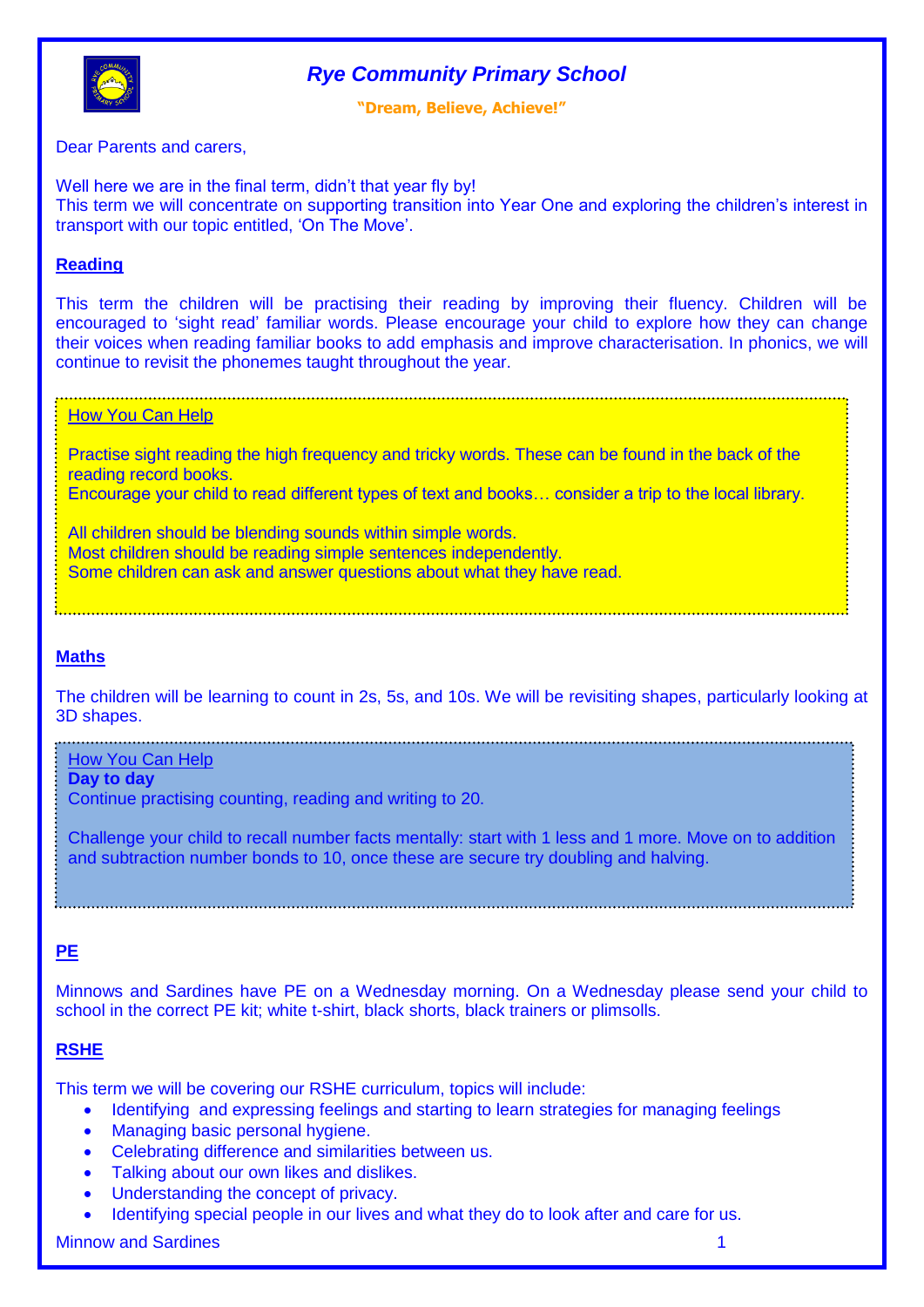

# *Rye Community Primary School*

**"Dream, Believe, Achieve!"**

Dear Parents and carers,

Well here we are in the final term, didn't that year fly by! This term we will concentrate on supporting transition into Year One and exploring the children's interest in transport with our topic entitled, 'On The Move'.

## **Reading**

This term the children will be practising their reading by improving their fluency. Children will be encouraged to 'sight read' familiar words. Please encourage your child to explore how they can change their voices when reading familiar books to add emphasis and improve characterisation. In phonics, we will continue to revisit the phonemes taught throughout the year.

**How You Can Help** 

Practise sight reading the high frequency and tricky words. These can be found in the back of the reading record books. Encourage your child to read different types of text and books… consider a trip to the local library.

**Some children can ask and answer questions about what they have read.** All children should be blending sounds within simple words. Most children should be reading simple sentences independently.

## **Maths**

The children will be learning to count in 2s, 5s, and 10s. We will be revisiting shapes, particularly looking at 3D shapes.

How You Can Help

**Day to day**

Continue practising counting, reading and writing to 20.

Challenge your child to recall number facts mentally: start with 1 less and 1 more. Move on to addition and subtraction number bonds to 10, once these are secure try doubling and halving.

## **PE**

Minnows and Sardines have PE on a Wednesday morning. On a Wednesday please send your child to school in the correct PE kit; white t-shirt, black shorts, black trainers or plimsolls.

### **RSHE**

This term we will be covering our RSHE curriculum, topics will include:

- Identifying and expressing feelings and starting to learn strategies for managing feelings
- Managing basic personal hygiene.
- Celebrating difference and similarities between us.
- Talking about our own likes and dislikes.
- Understanding the concept of privacy.
- Identifying special people in our lives and what they do to look after and care for us.

Minnow and Sardines 1